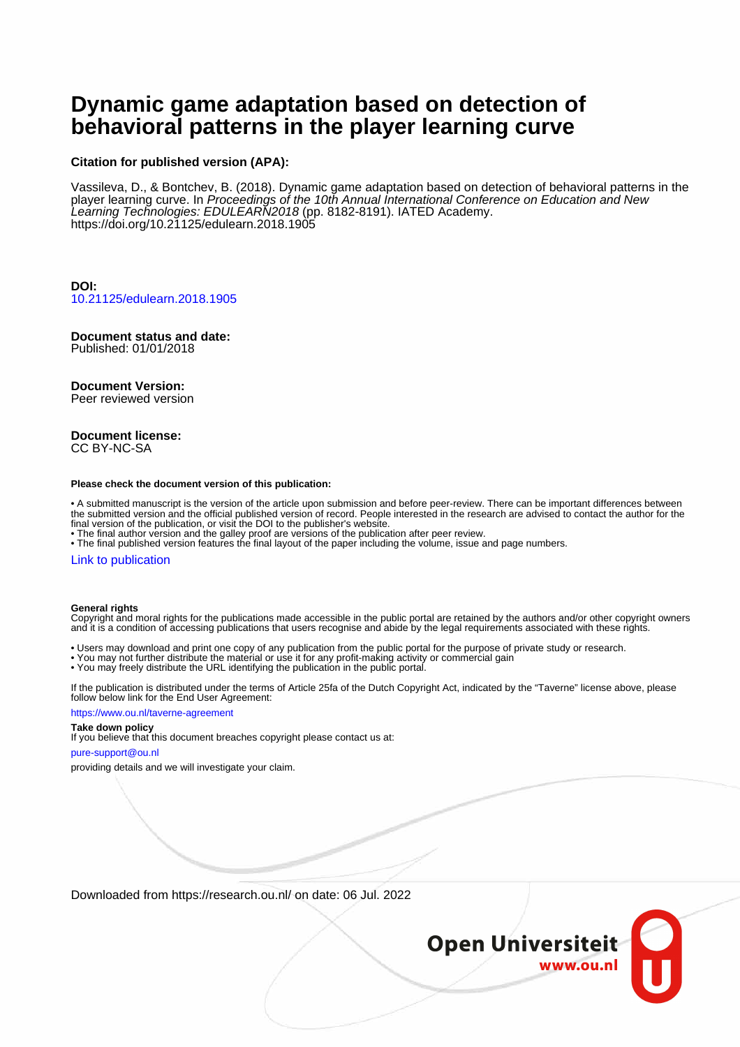# **Dynamic game adaptation based on detection of behavioral patterns in the player learning curve**

#### **Citation for published version (APA):**

Vassileva, D., & Bontchev, B. (2018). Dynamic game adaptation based on detection of behavioral patterns in the player learning curve. In Proceedings of the 10th Annual International Conference on Education and New Learning Technologies: EDULEARN2018 (pp. 8182-8191). IATED Academy. <https://doi.org/10.21125/edulearn.2018.1905>

**DOI:** [10.21125/edulearn.2018.1905](https://doi.org/10.21125/edulearn.2018.1905)

# **Document status and date:**

Published: 01/01/2018

#### **Document Version:**

Peer reviewed version

#### **Document license:** CC BY-NC-SA

#### **Please check the document version of this publication:**

• A submitted manuscript is the version of the article upon submission and before peer-review. There can be important differences between the submitted version and the official published version of record. People interested in the research are advised to contact the author for the final version of the publication, or visit the DOI to the publisher's website.

• The final author version and the galley proof are versions of the publication after peer review.

• The final published version features the final layout of the paper including the volume, issue and page numbers.

#### [Link to publication](https://research.ou.nl/en/publications/68c52074-ef5f-4f67-8425-290cf501936d)

#### **General rights**

Copyright and moral rights for the publications made accessible in the public portal are retained by the authors and/or other copyright owners and it is a condition of accessing publications that users recognise and abide by the legal requirements associated with these rights.

- Users may download and print one copy of any publication from the public portal for the purpose of private study or research.
- You may not further distribute the material or use it for any profit-making activity or commercial gain
- You may freely distribute the URL identifying the publication in the public portal.

If the publication is distributed under the terms of Article 25fa of the Dutch Copyright Act, indicated by the "Taverne" license above, please follow below link for the End User Agreement:

#### https://www.ou.nl/taverne-agreement

#### **Take down policy**

If you believe that this document breaches copyright please contact us at:

#### pure-support@ou.nl

providing details and we will investigate your claim.

Downloaded from https://research.ou.nl/ on date: 06 Jul. 2022

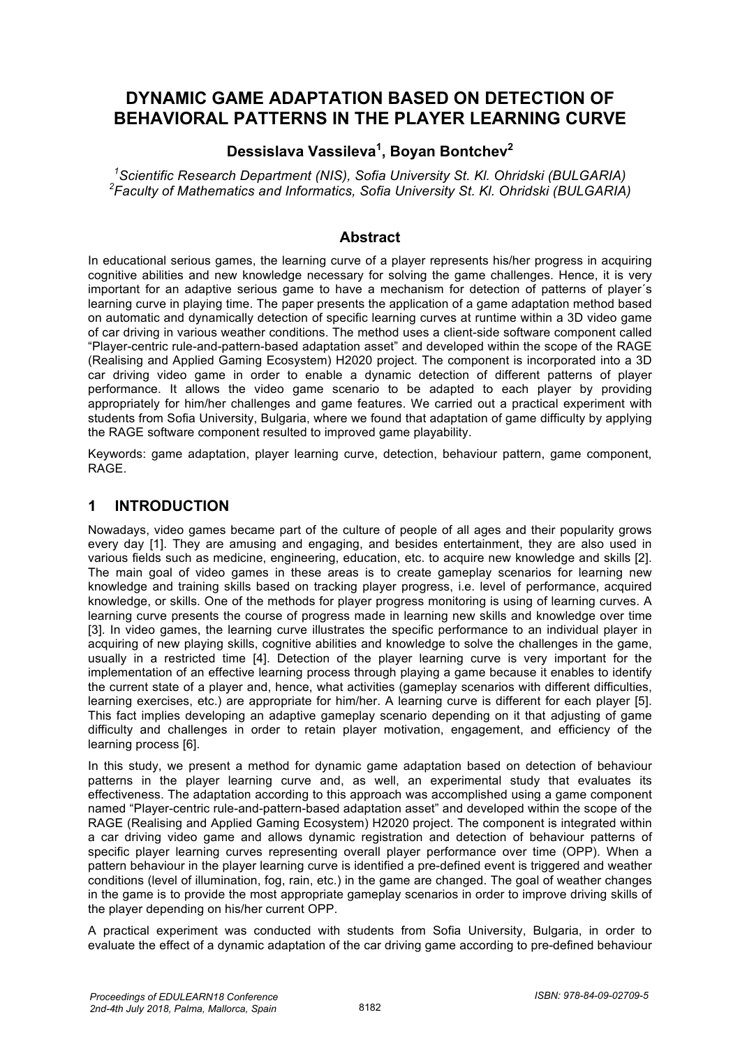# **DYNAMIC GAME ADAPTATION BASED ON DETECTION OF BEHAVIORAL PATTERNS IN THE PLAYER LEARNING CURVE**

## **Dessislava Vassileva<sup>1</sup> , Boyan Bontchev<sup>2</sup>**

*1 Scientific Research Department (NIS), Sofia University St. Kl. Ohridski (BULGARIA) 2 Faculty of Mathematics and Informatics, Sofia University St. Kl. Ohridski (BULGARIA)* 

### **Abstract**

In educational serious games, the learning curve of a player represents his/her progress in acquiring cognitive abilities and new knowledge necessary for solving the game challenges. Hence, it is very important for an adaptive serious game to have a mechanism for detection of patterns of player´s learning curve in playing time. The paper presents the application of a game adaptation method based on automatic and dynamically detection of specific learning curves at runtime within a 3D video game of car driving in various weather conditions. The method uses a client-side software component called "Player-centric rule-and-pattern-based adaptation asset" and developed within the scope of the RAGE (Realising and Applied Gaming Ecosystem) H2020 project. The component is incorporated into a 3D car driving video game in order to enable a dynamic detection of different patterns of player performance. It allows the video game scenario to be adapted to each player by providing appropriately for him/her challenges and game features. We carried out a practical experiment with students from Sofia University, Bulgaria, where we found that adaptation of game difficulty by applying the RAGE software component resulted to improved game playability.

Keywords: game adaptation, player learning curve, detection, behaviour pattern, game component, RAGE.

### **1 INTRODUCTION**

Nowadays, video games became part of the culture of people of all ages and their popularity grows every day [1]. They are amusing and engaging, and besides entertainment, they are also used in various fields such as medicine, engineering, education, etc. to acquire new knowledge and skills [2]. The main goal of video games in these areas is to create gameplay scenarios for learning new knowledge and training skills based on tracking player progress, i.e. level of performance, acquired knowledge, or skills. One of the methods for player progress monitoring is using of learning curves. A learning curve presents the course of progress made in learning new skills and knowledge over time [3]. In video games, the learning curve illustrates the specific performance to an individual player in acquiring of new playing skills, cognitive abilities and knowledge to solve the challenges in the game, usually in a restricted time [4]. Detection of the player learning curve is very important for the implementation of an effective learning process through playing a game because it enables to identify the current state of a player and, hence, what activities (gameplay scenarios with different difficulties, learning exercises, etc.) are appropriate for him/her. A learning curve is different for each player [5]. This fact implies developing an adaptive gameplay scenario depending on it that adjusting of game difficulty and challenges in order to retain player motivation, engagement, and efficiency of the learning process [6].

In this study, we present a method for dynamic game adaptation based on detection of behaviour patterns in the player learning curve and, as well, an experimental study that evaluates its effectiveness. The adaptation according to this approach was accomplished using a game component named "Player-centric rule-and-pattern-based adaptation asset" and developed within the scope of the RAGE (Realising and Applied Gaming Ecosystem) H2020 project. The component is integrated within a car driving video game and allows dynamic registration and detection of behaviour patterns of specific player learning curves representing overall player performance over time (OPP). When a pattern behaviour in the player learning curve is identified a pre-defined event is triggered and weather conditions (level of illumination, fog, rain, etc.) in the game are changed. The goal of weather changes in the game is to provide the most appropriate gameplay scenarios in order to improve driving skills of the player depending on his/her current OPP.

A practical experiment was conducted with students from Sofia University, Bulgaria, in order to evaluate the effect of a dynamic adaptation of the car driving game according to pre-defined behaviour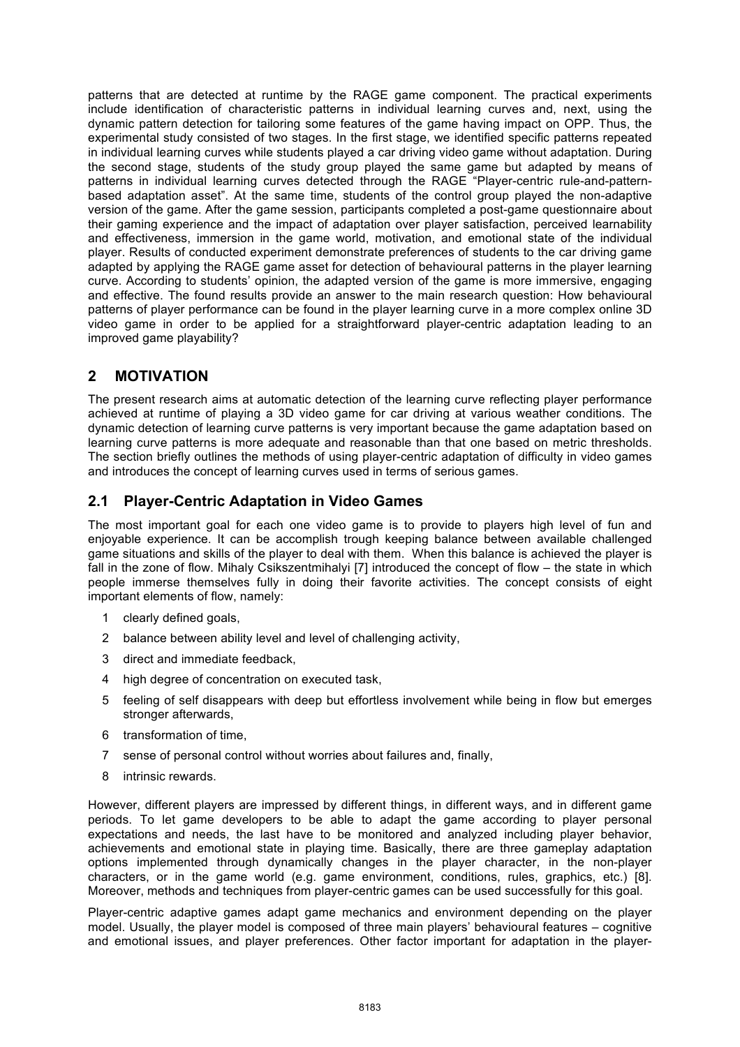patterns that are detected at runtime by the RAGE game component. The practical experiments include identification of characteristic patterns in individual learning curves and, next, using the dynamic pattern detection for tailoring some features of the game having impact on OPP. Thus, the experimental study consisted of two stages. In the first stage, we identified specific patterns repeated in individual learning curves while students played a car driving video game without adaptation. During the second stage, students of the study group played the same game but adapted by means of patterns in individual learning curves detected through the RAGE "Player-centric rule-and-patternbased adaptation asset". At the same time, students of the control group played the non-adaptive version of the game. After the game session, participants completed a post-game questionnaire about their gaming experience and the impact of adaptation over player satisfaction, perceived learnability and effectiveness, immersion in the game world, motivation, and emotional state of the individual player. Results of conducted experiment demonstrate preferences of students to the car driving game adapted by applying the RAGE game asset for detection of behavioural patterns in the player learning curve. According to students' opinion, the adapted version of the game is more immersive, engaging and effective. The found results provide an answer to the main research question: How behavioural patterns of player performance can be found in the player learning curve in a more complex online 3D video game in order to be applied for a straightforward player-centric adaptation leading to an improved game playability?

# **2 MOTIVATION**

The present research aims at automatic detection of the learning curve reflecting player performance achieved at runtime of playing a 3D video game for car driving at various weather conditions. The dynamic detection of learning curve patterns is very important because the game adaptation based on learning curve patterns is more adequate and reasonable than that one based on metric thresholds. The section briefly outlines the methods of using player-centric adaptation of difficulty in video games and introduces the concept of learning curves used in terms of serious games.

### **2.1 Player-Centric Adaptation in Video Games**

The most important goal for each one video game is to provide to players high level of fun and enjoyable experience. It can be accomplish trough keeping balance between available challenged game situations and skills of the player to deal with them. When this balance is achieved the player is fall in the zone of flow. Mihaly Csikszentmihalyi [7] introduced the concept of flow – the state in which people immerse themselves fully in doing their favorite activities. The concept consists of eight important elements of flow, namely:

- 1 clearly defined goals,
- 2 balance between ability level and level of challenging activity,
- 3 direct and immediate feedback,
- 4 high degree of concentration on executed task,
- 5 feeling of self disappears with deep but effortless involvement while being in flow but emerges stronger afterwards,
- 6 transformation of time,
- 7 sense of personal control without worries about failures and, finally,
- 8 intrinsic rewards.

However, different players are impressed by different things, in different ways, and in different game periods. To let game developers to be able to adapt the game according to player personal expectations and needs, the last have to be monitored and analyzed including player behavior, achievements and emotional state in playing time. Basically, there are three gameplay adaptation options implemented through dynamically changes in the player character, in the non-player characters, or in the game world (e.g. game environment, conditions, rules, graphics, etc.) [8]. Moreover, methods and techniques from player-centric games can be used successfully for this goal.

Player-centric adaptive games adapt game mechanics and environment depending on the player model. Usually, the player model is composed of three main players' behavioural features – cognitive and emotional issues, and player preferences. Other factor important for adaptation in the player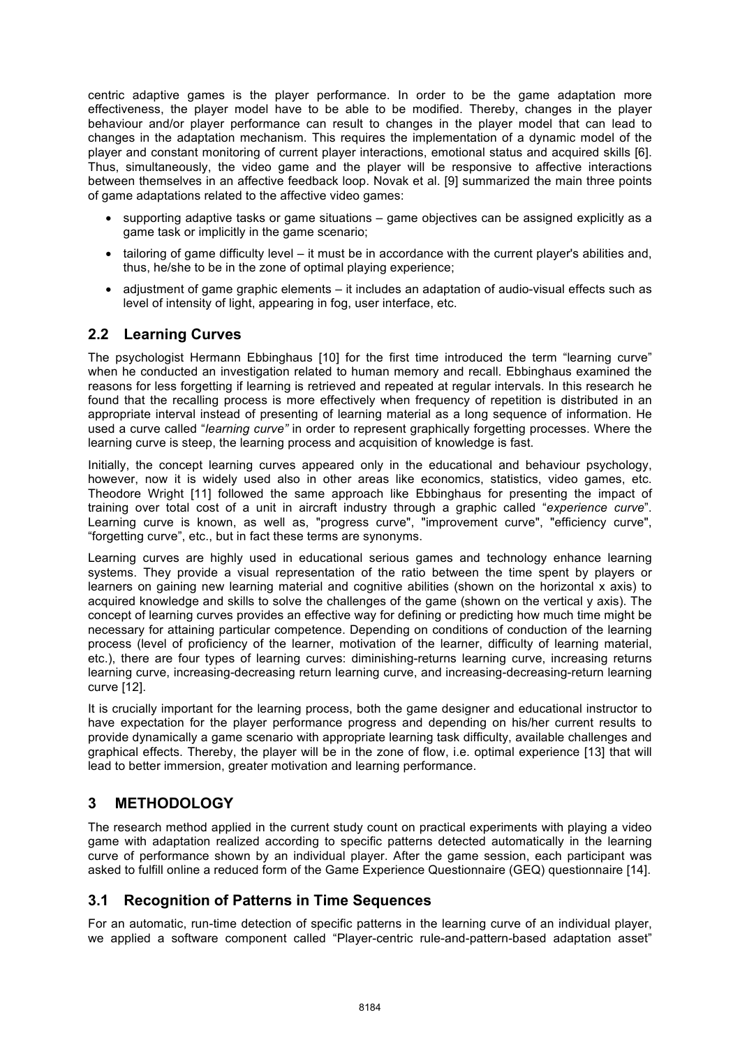centric adaptive games is the player performance. In order to be the game adaptation more effectiveness, the player model have to be able to be modified. Thereby, changes in the player behaviour and/or player performance can result to changes in the player model that can lead to changes in the adaptation mechanism. This requires the implementation of a dynamic model of the player and constant monitoring of current player interactions, emotional status and acquired skills [6]. Thus, simultaneously, the video game and the player will be responsive to affective interactions between themselves in an affective feedback loop. Novak et al. [9] summarized the main three points of game adaptations related to the affective video games:

- supporting adaptive tasks or game situations game objectives can be assigned explicitly as a game task or implicitly in the game scenario;
- tailoring of game difficulty level it must be in accordance with the current player's abilities and, thus, he/she to be in the zone of optimal playing experience;
- adjustment of game graphic elements it includes an adaptation of audio-visual effects such as level of intensity of light, appearing in fog, user interface, etc.

# **2.2 Learning Curves**

The psychologist Hermann Ebbinghaus [10] for the first time introduced the term "learning curve" when he conducted an investigation related to human memory and recall. Ebbinghaus examined the reasons for less forgetting if learning is retrieved and repeated at regular intervals. In this research he found that the recalling process is more effectively when frequency of repetition is distributed in an appropriate interval instead of presenting of learning material as a long sequence of information. He used a curve called "*learning curve"* in order to represent graphically forgetting processes. Where the learning curve is steep, the learning process and acquisition of knowledge is fast.

Initially, the concept learning curves appeared only in the educational and behaviour psychology, however, now it is widely used also in other areas like economics, statistics, video games, etc. Theodore Wright [11] followed the same approach like Ebbinghaus for presenting the impact of training over total cost of a unit in aircraft industry through a graphic called "*experience curve*". Learning curve is known, as well as, "progress curve", "improvement curve", "efficiency curve", "forgetting curve", etc., but in fact these terms are synonyms.

Learning curves are highly used in educational serious games and technology enhance learning systems. They provide a visual representation of the ratio between the time spent by players or learners on gaining new learning material and cognitive abilities (shown on the horizontal x axis) to acquired knowledge and skills to solve the challenges of the game (shown on the vertical y axis). The concept of learning curves provides an effective way for defining or predicting how much time might be necessary for attaining particular competence. Depending on conditions of conduction of the learning process (level of proficiency of the learner, motivation of the learner, difficulty of learning material, etc.), there are four types of learning curves: diminishing-returns learning curve, increasing returns learning curve, increasing-decreasing return learning curve, and increasing-decreasing-return learning curve [12].

It is crucially important for the learning process, both the game designer and educational instructor to have expectation for the player performance progress and depending on his/her current results to provide dynamically a game scenario with appropriate learning task difficulty, available challenges and graphical effects. Thereby, the player will be in the zone of flow, i.e. optimal experience [13] that will lead to better immersion, greater motivation and learning performance.

### **3 METHODOLOGY**

The research method applied in the current study count on practical experiments with playing a video game with adaptation realized according to specific patterns detected automatically in the learning curve of performance shown by an individual player. After the game session, each participant was asked to fulfill online a reduced form of the Game Experience Questionnaire (GEQ) questionnaire [14].

### **3.1 Recognition of Patterns in Time Sequences**

For an automatic, run-time detection of specific patterns in the learning curve of an individual player, we applied a software component called "Player-centric rule-and-pattern-based adaptation asset"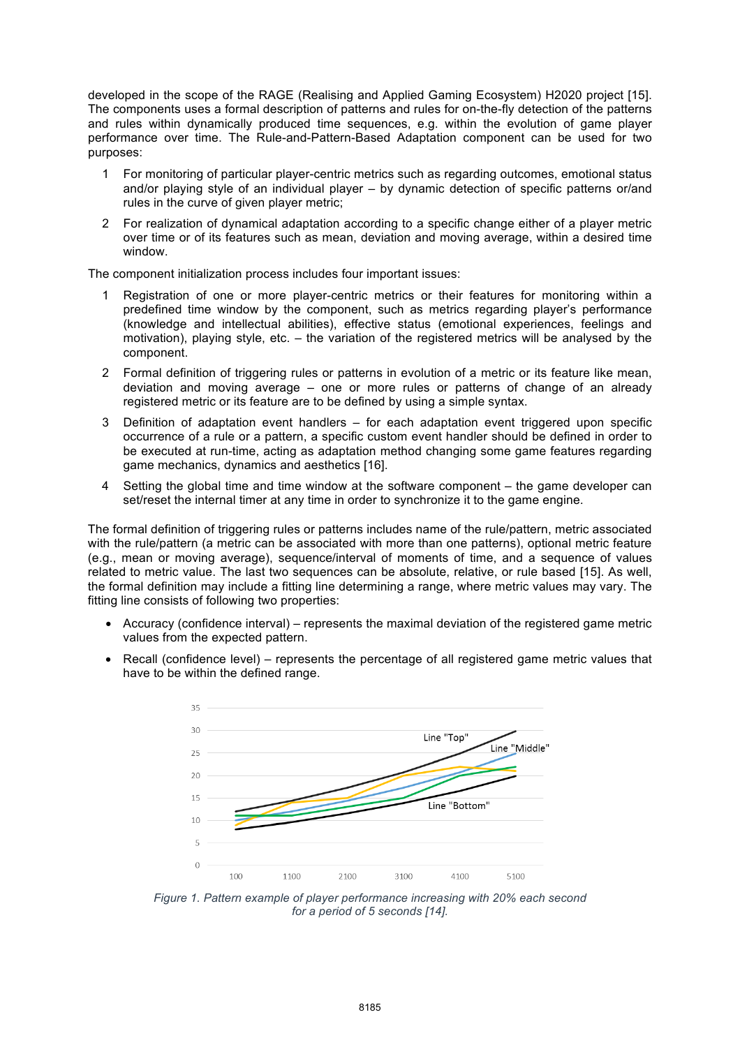developed in the scope of the RAGE (Realising and Applied Gaming Ecosystem) H2020 project [15]. The components uses a formal description of patterns and rules for on-the-fly detection of the patterns and rules within dynamically produced time sequences, e.g. within the evolution of game player performance over time. The Rule-and-Pattern-Based Adaptation component can be used for two purposes:

- 1 For monitoring of particular player-centric metrics such as regarding outcomes, emotional status and/or playing style of an individual player – by dynamic detection of specific patterns or/and rules in the curve of given player metric;
- 2 For realization of dynamical adaptation according to a specific change either of a player metric over time or of its features such as mean, deviation and moving average, within a desired time window.

The component initialization process includes four important issues:

- 1 Registration of one or more player-centric metrics or their features for monitoring within a predefined time window by the component, such as metrics regarding player's performance (knowledge and intellectual abilities), effective status (emotional experiences, feelings and motivation), playing style, etc. – the variation of the registered metrics will be analysed by the component.
- 2 Formal definition of triggering rules or patterns in evolution of a metric or its feature like mean, deviation and moving average – one or more rules or patterns of change of an already registered metric or its feature are to be defined by using a simple syntax.
- 3 Definition of adaptation event handlers for each adaptation event triggered upon specific occurrence of a rule or a pattern, a specific custom event handler should be defined in order to be executed at run-time, acting as adaptation method changing some game features regarding game mechanics, dynamics and aesthetics [16].
- 4 Setting the global time and time window at the software component the game developer can set/reset the internal timer at any time in order to synchronize it to the game engine.

The formal definition of triggering rules or patterns includes name of the rule/pattern, metric associated with the rule/pattern (a metric can be associated with more than one patterns), optional metric feature (e.g., mean or moving average), sequence/interval of moments of time, and a sequence of values related to metric value. The last two sequences can be absolute, relative, or rule based [15]. As well, the formal definition may include a fitting line determining a range, where metric values may vary. The fitting line consists of following two properties:

- Accuracy (confidence interval) represents the maximal deviation of the registered game metric values from the expected pattern.
- Recall (confidence level) represents the percentage of all registered game metric values that have to be within the defined range.



*Figure 1. Pattern example of player performance increasing with 20% each second for a period of 5 seconds [14].*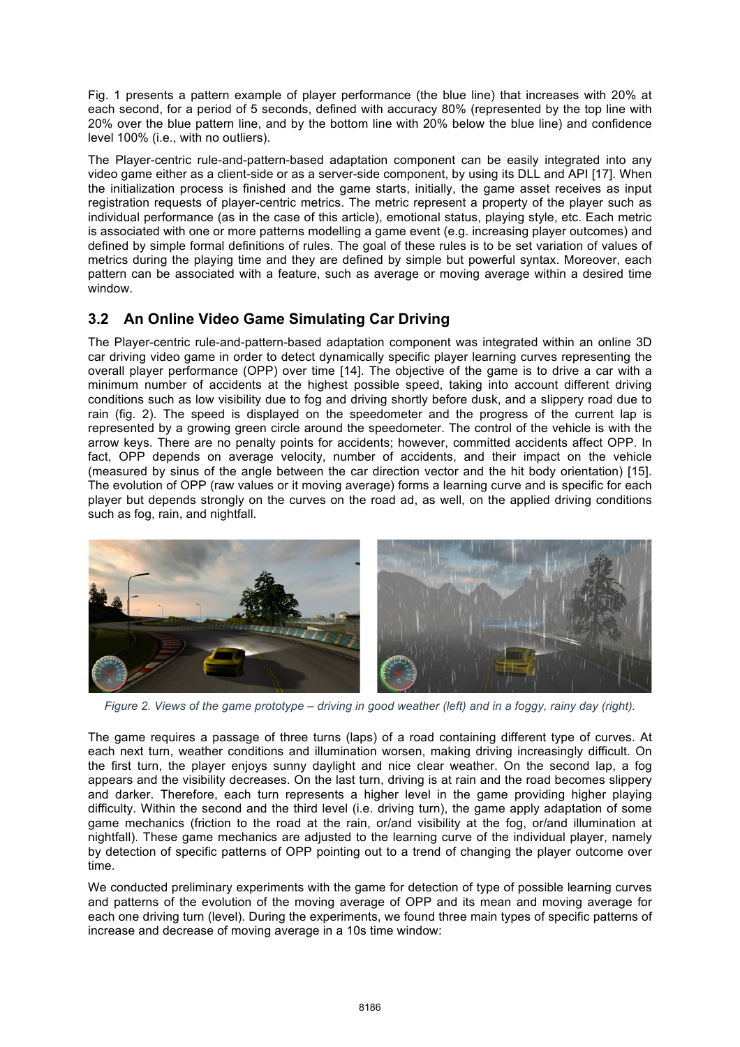Fig. 1 presents a pattern example of player performance (the blue line) that increases with 20% at each second, for a period of 5 seconds, defined with accuracy 80% (represented by the top line with 20% over the blue pattern line, and by the bottom line with 20% below the blue line) and confidence level 100% (i.e., with no outliers).

The Player-centric rule-and-pattern-based adaptation component can be easily integrated into any video game either as a client-side or as a server-side component, by using its DLL and API [17]. When the initialization process is finished and the game starts, initially, the game asset receives as input registration requests of player-centric metrics. The metric represent a property of the player such as individual performance (as in the case of this article), emotional status, playing style, etc. Each metric is associated with one or more patterns modelling a game event (e.g. increasing player outcomes) and defined by simple formal definitions of rules. The goal of these rules is to be set variation of values of metrics during the playing time and they are defined by simple but powerful syntax. Moreover, each pattern can be associated with a feature, such as average or moving average within a desired time window.

# **3.2 An Online Video Game Simulating Car Driving**

The Player-centric rule-and-pattern-based adaptation component was integrated within an online 3D car driving video game in order to detect dynamically specific player learning curves representing the overall player performance (OPP) over time [14]. The objective of the game is to drive a car with a minimum number of accidents at the highest possible speed, taking into account different driving conditions such as low visibility due to fog and driving shortly before dusk, and a slippery road due to rain (fig. 2). The speed is displayed on the speedometer and the progress of the current lap is represented by a growing green circle around the speedometer. The control of the vehicle is with the arrow keys. There are no penalty points for accidents; however, committed accidents affect OPP. In fact, OPP depends on average velocity, number of accidents, and their impact on the vehicle (measured by sinus of the angle between the car direction vector and the hit body orientation) [15]. The evolution of OPP (raw values or it moving average) forms a learning curve and is specific for each player but depends strongly on the curves on the road ad, as well, on the applied driving conditions such as fog, rain, and nightfall.



*Figure 2. Views of the game prototype – driving in good weather (left) and in a foggy, rainy day (right).* 

The game requires a passage of three turns (laps) of a road containing different type of curves. At each next turn, weather conditions and illumination worsen, making driving increasingly difficult. On the first turn, the player enjoys sunny daylight and nice clear weather. On the second lap, a fog appears and the visibility decreases. On the last turn, driving is at rain and the road becomes slippery and darker. Therefore, each turn represents a higher level in the game providing higher playing difficulty. Within the second and the third level (i.e. driving turn), the game apply adaptation of some game mechanics (friction to the road at the rain, or/and visibility at the fog, or/and illumination at nightfall). These game mechanics are adjusted to the learning curve of the individual player, namely by detection of specific patterns of OPP pointing out to a trend of changing the player outcome over time.

We conducted preliminary experiments with the game for detection of type of possible learning curves and patterns of the evolution of the moving average of OPP and its mean and moving average for each one driving turn (level). During the experiments, we found three main types of specific patterns of increase and decrease of moving average in a 10s time window: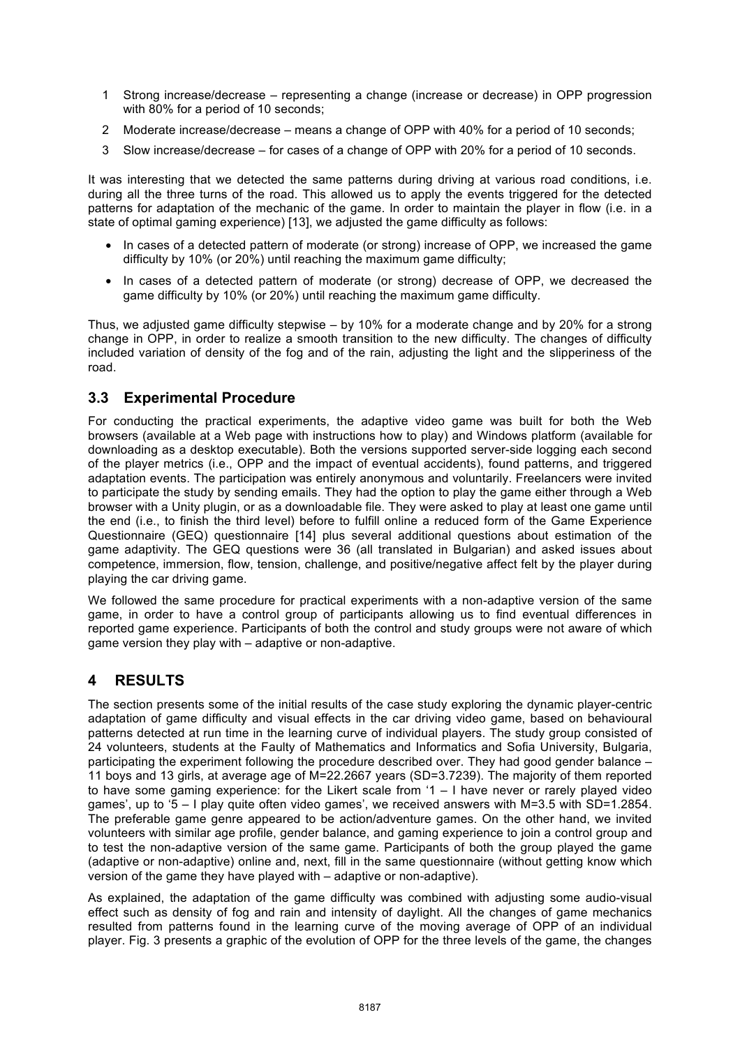- 1 Strong increase/decrease representing a change (increase or decrease) in OPP progression with 80% for a period of 10 seconds;
- 2 Moderate increase/decrease means a change of OPP with 40% for a period of 10 seconds;
- 3 Slow increase/decrease for cases of a change of OPP with 20% for a period of 10 seconds.

It was interesting that we detected the same patterns during driving at various road conditions, i.e. during all the three turns of the road. This allowed us to apply the events triggered for the detected patterns for adaptation of the mechanic of the game. In order to maintain the player in flow (i.e. in a state of optimal gaming experience) [13], we adjusted the game difficulty as follows:

- In cases of a detected pattern of moderate (or strong) increase of OPP, we increased the game difficulty by 10% (or 20%) until reaching the maximum game difficulty;
- In cases of a detected pattern of moderate (or strong) decrease of OPP, we decreased the game difficulty by 10% (or 20%) until reaching the maximum game difficulty.

Thus, we adjusted game difficulty stepwise – by 10% for a moderate change and by 20% for a strong change in OPP, in order to realize a smooth transition to the new difficulty. The changes of difficulty included variation of density of the fog and of the rain, adjusting the light and the slipperiness of the road.

### **3.3 Experimental Procedure**

For conducting the practical experiments, the adaptive video game was built for both the Web browsers (available at a Web page with instructions how to play) and Windows platform (available for downloading as a desktop executable). Both the versions supported server-side logging each second of the player metrics (i.e., OPP and the impact of eventual accidents), found patterns, and triggered adaptation events. The participation was entirely anonymous and voluntarily. Freelancers were invited to participate the study by sending emails. They had the option to play the game either through a Web browser with a Unity plugin, or as a downloadable file. They were asked to play at least one game until the end (i.e., to finish the third level) before to fulfill online a reduced form of the Game Experience Questionnaire (GEQ) questionnaire [14] plus several additional questions about estimation of the game adaptivity. The GEQ questions were 36 (all translated in Bulgarian) and asked issues about competence, immersion, flow, tension, challenge, and positive/negative affect felt by the player during playing the car driving game.

We followed the same procedure for practical experiments with a non-adaptive version of the same game, in order to have a control group of participants allowing us to find eventual differences in reported game experience. Participants of both the control and study groups were not aware of which game version they play with – adaptive or non-adaptive.

### **4 RESULTS**

The section presents some of the initial results of the case study exploring the dynamic player-centric adaptation of game difficulty and visual effects in the car driving video game, based on behavioural patterns detected at run time in the learning curve of individual players. The study group consisted of 24 volunteers, students at the Faulty of Mathematics and Informatics and Sofia University, Bulgaria, participating the experiment following the procedure described over. They had good gender balance – 11 boys and 13 girls, at average age of M=22.2667 years (SD=3.7239). The majority of them reported to have some gaming experience: for the Likert scale from '1 – I have never or rarely played video games', up to '5 – I play quite often video games', we received answers with M=3.5 with SD=1.2854. The preferable game genre appeared to be action/adventure games. On the other hand, we invited volunteers with similar age profile, gender balance, and gaming experience to join a control group and to test the non-adaptive version of the same game. Participants of both the group played the game (adaptive or non-adaptive) online and, next, fill in the same questionnaire (without getting know which version of the game they have played with – adaptive or non-adaptive).

As explained, the adaptation of the game difficulty was combined with adjusting some audio-visual effect such as density of fog and rain and intensity of daylight. All the changes of game mechanics resulted from patterns found in the learning curve of the moving average of OPP of an individual player. Fig. 3 presents a graphic of the evolution of OPP for the three levels of the game, the changes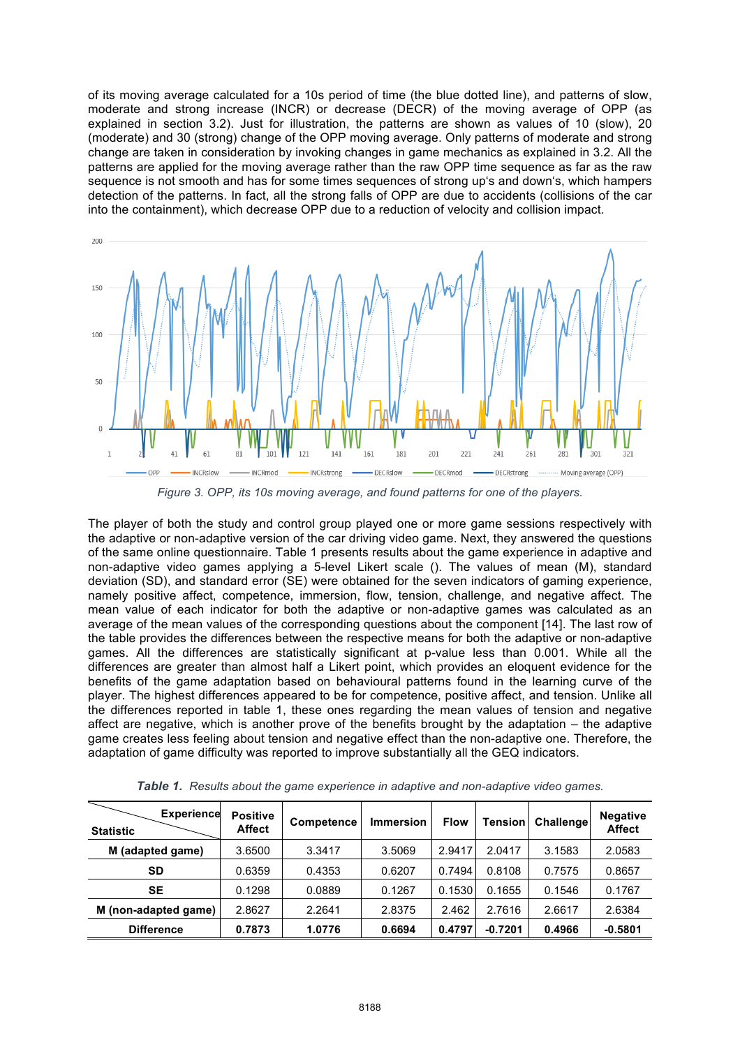of its moving average calculated for a 10s period of time (the blue dotted line), and patterns of slow, moderate and strong increase (INCR) or decrease (DECR) of the moving average of OPP (as explained in section 3.2). Just for illustration, the patterns are shown as values of 10 (slow), 20 (moderate) and 30 (strong) change of the OPP moving average. Only patterns of moderate and strong change are taken in consideration by invoking changes in game mechanics as explained in 3.2. All the patterns are applied for the moving average rather than the raw OPP time sequence as far as the raw sequence is not smooth and has for some times sequences of strong up's and down's, which hampers detection of the patterns. In fact, all the strong falls of OPP are due to accidents (collisions of the car into the containment), which decrease OPP due to a reduction of velocity and collision impact.



*Figure 3. OPP, its 10s moving average, and found patterns for one of the players.*

The player of both the study and control group played one or more game sessions respectively with the adaptive or non-adaptive version of the car driving video game. Next, they answered the questions of the same online questionnaire. Table 1 presents results about the game experience in adaptive and non-adaptive video games applying a 5-level Likert scale (). The values of mean (M), standard deviation (SD), and standard error (SE) were obtained for the seven indicators of gaming experience, namely positive affect, competence, immersion, flow, tension, challenge, and negative affect. The mean value of each indicator for both the adaptive or non-adaptive games was calculated as an average of the mean values of the corresponding questions about the component [14]. The last row of the table provides the differences between the respective means for both the adaptive or non-adaptive games. All the differences are statistically significant at p-value less than 0.001. While all the differences are greater than almost half a Likert point, which provides an eloquent evidence for the benefits of the game adaptation based on behavioural patterns found in the learning curve of the player. The highest differences appeared to be for competence, positive affect, and tension. Unlike all the differences reported in table 1, these ones regarding the mean values of tension and negative affect are negative, which is another prove of the benefits brought by the adaptation – the adaptive game creates less feeling about tension and negative effect than the non-adaptive one. Therefore, the adaptation of game difficulty was reported to improve substantially all the GEQ indicators.

| <b>Experience</b><br><b>Statistic</b> | <b>Positive</b><br><b>Affect</b> | Competence | <b>Immersion</b> | <b>Flow</b> | <b>Tension</b> | Challenge | <b>Negative</b><br><b>Affect</b> |
|---------------------------------------|----------------------------------|------------|------------------|-------------|----------------|-----------|----------------------------------|
| (adapted game)<br>м                   | 3.6500                           | 3.3417     | 3.5069           | 2.9417      | 2.0417         | 3.1583    | 2.0583                           |
| SD                                    | 0.6359                           | 0.4353     | 0.6207           | 0.7494      | 0.8108         | 0.7575    | 0.8657                           |
| SE                                    | 0.1298                           | 0.0889     | 0.1267           | 0.1530      | 0.1655         | 0.1546    | 0.1767                           |
| M (non-adapted game)                  | 2.8627                           | 2.2641     | 2.8375           | 2.462       | 2.7616         | 2.6617    | 2.6384                           |
| <b>Difference</b>                     | 0.7873                           | 1.0776     | 0.6694           | 0.4797      | $-0.7201$      | 0.4966    | $-0.5801$                        |

*Table 1. Results about the game experience in adaptive and non-adaptive video games.*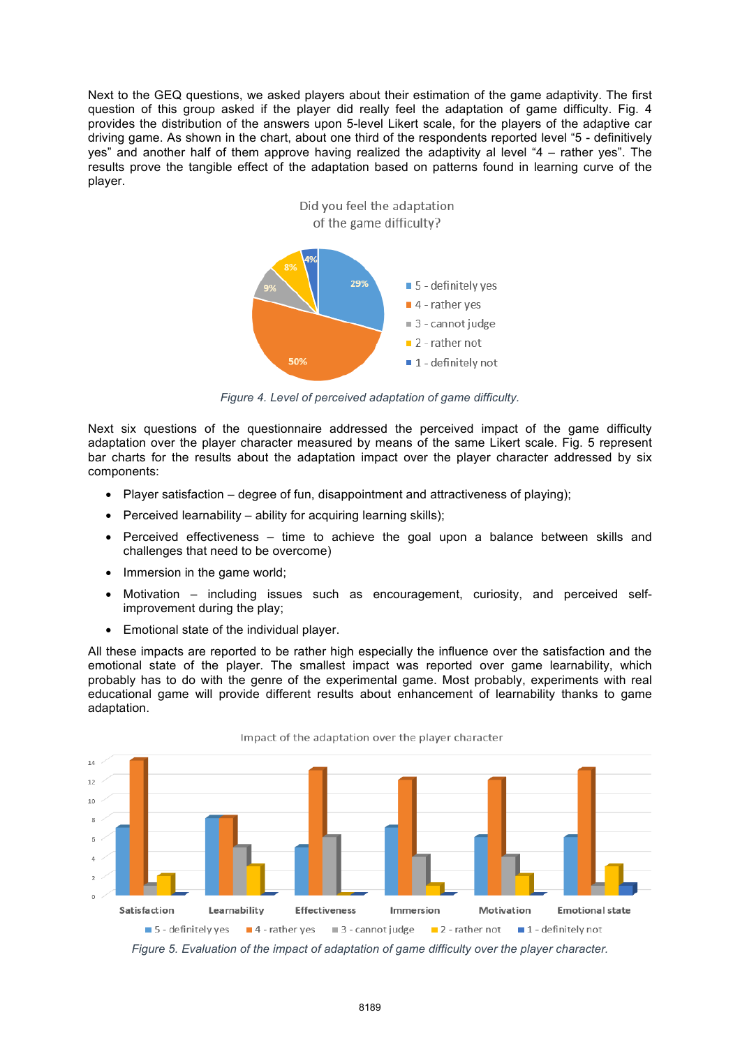Next to the GEQ questions, we asked players about their estimation of the game adaptivity. The first question of this group asked if the player did really feel the adaptation of game difficulty. Fig. 4 provides the distribution of the answers upon 5-level Likert scale, for the players of the adaptive car driving game. As shown in the chart, about one third of the respondents reported level "5 - definitively yes" and another half of them approve having realized the adaptivity al level "4 – rather yes". The results prove the tangible effect of the adaptation based on patterns found in learning curve of the player.



*Figure 4. Level of perceived adaptation of game difficulty.*

Next six questions of the questionnaire addressed the perceived impact of the game difficulty adaptation over the player character measured by means of the same Likert scale. Fig. 5 represent bar charts for the results about the adaptation impact over the player character addressed by six components:

- Player satisfaction degree of fun, disappointment and attractiveness of playing);
- Perceived learnability ability for acquiring learning skills);
- Perceived effectiveness time to achieve the goal upon a balance between skills and challenges that need to be overcome)
- Immersion in the game world;
- Motivation including issues such as encouragement, curiosity, and perceived selfimprovement during the play;
- Emotional state of the individual player.

All these impacts are reported to be rather high especially the influence over the satisfaction and the emotional state of the player. The smallest impact was reported over game learnability, which probably has to do with the genre of the experimental game. Most probably, experiments with real educational game will provide different results about enhancement of learnability thanks to game adaptation.



Impact of the adaptation over the player character

*Figure 5. Evaluation of the impact of adaptation of game difficulty over the player character.*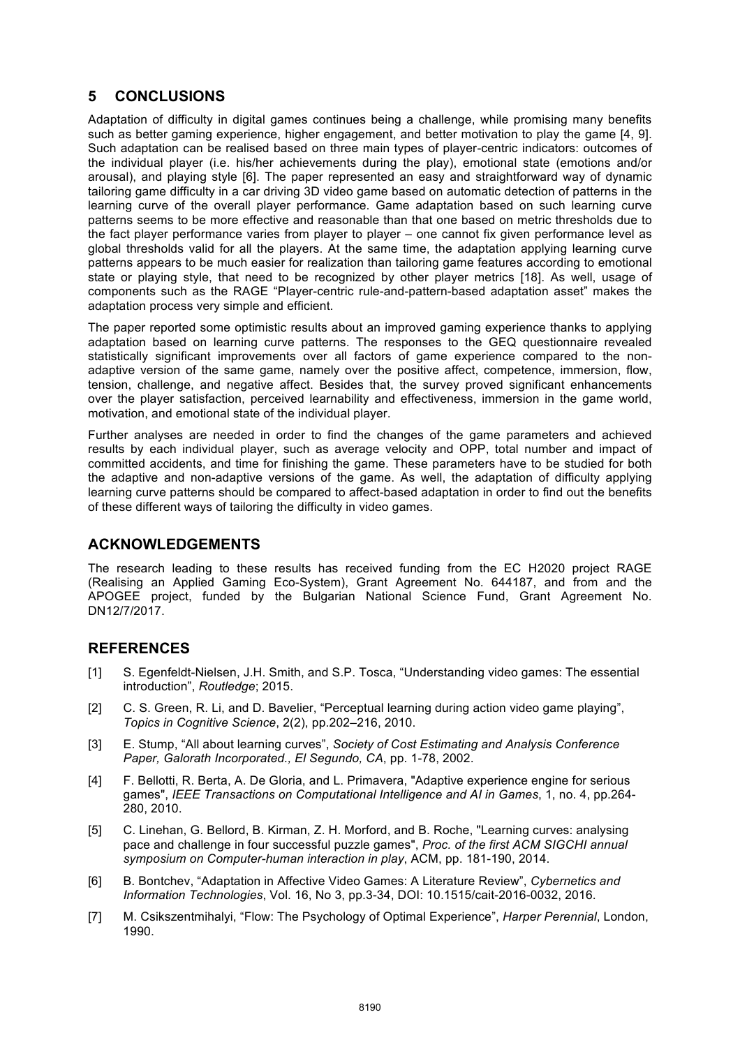# **5 CONCLUSIONS**

Adaptation of difficulty in digital games continues being a challenge, while promising many benefits such as better gaming experience, higher engagement, and better motivation to play the game [4, 9]. Such adaptation can be realised based on three main types of player-centric indicators: outcomes of the individual player (i.e. his/her achievements during the play), emotional state (emotions and/or arousal), and playing style [6]. The paper represented an easy and straightforward way of dynamic tailoring game difficulty in a car driving 3D video game based on automatic detection of patterns in the learning curve of the overall player performance. Game adaptation based on such learning curve patterns seems to be more effective and reasonable than that one based on metric thresholds due to the fact player performance varies from player to player – one cannot fix given performance level as global thresholds valid for all the players. At the same time, the adaptation applying learning curve patterns appears to be much easier for realization than tailoring game features according to emotional state or playing style, that need to be recognized by other player metrics [18]. As well, usage of components such as the RAGE "Player-centric rule-and-pattern-based adaptation asset" makes the adaptation process very simple and efficient.

The paper reported some optimistic results about an improved gaming experience thanks to applying adaptation based on learning curve patterns. The responses to the GEQ questionnaire revealed statistically significant improvements over all factors of game experience compared to the nonadaptive version of the same game, namely over the positive affect, competence, immersion, flow, tension, challenge, and negative affect. Besides that, the survey proved significant enhancements over the player satisfaction, perceived learnability and effectiveness, immersion in the game world, motivation, and emotional state of the individual player.

Further analyses are needed in order to find the changes of the game parameters and achieved results by each individual player, such as average velocity and OPP, total number and impact of committed accidents, and time for finishing the game. These parameters have to be studied for both the adaptive and non-adaptive versions of the game. As well, the adaptation of difficulty applying learning curve patterns should be compared to affect-based adaptation in order to find out the benefits of these different ways of tailoring the difficulty in video games.

### **ACKNOWLEDGEMENTS**

The research leading to these results has received funding from the EC H2020 project RAGE (Realising an Applied Gaming Eco-System), Grant Agreement No. 644187, and from and the APOGEE project, funded by the Bulgarian National Science Fund, Grant Agreement No. DN12/7/2017.

# **REFERENCES**

- [1] S. Egenfeldt-Nielsen, J.H. Smith, and S.P. Tosca, "Understanding video games: The essential introduction", *Routledge*; 2015.
- [2] C. S. Green, R. Li, and D. Bavelier, "Perceptual learning during action video game playing", *Topics in Cognitive Science*, 2(2), pp.202–216, 2010.
- [3] E. Stump, "All about learning curves", *Society of Cost Estimating and Analysis Conference Paper, Galorath Incorporated., El Segundo, CA*, pp. 1-78, 2002.
- [4] F. Bellotti, R. Berta, A. De Gloria, and L. Primavera, "Adaptive experience engine for serious games", *IEEE Transactions on Computational Intelligence and AI in Games*, 1, no. 4, pp.264- 280, 2010.
- [5] C. Linehan, G. Bellord, B. Kirman, Z. H. Morford, and B. Roche, "Learning curves: analysing pace and challenge in four successful puzzle games", *Proc. of the first ACM SIGCHI annual symposium on Computer-human interaction in play*, ACM, pp. 181-190, 2014.
- [6] B. Bontchev, "Adaptation in Affective Video Games: A Literature Review", *Cybernetics and Information Technologies*, Vol. 16, No 3, pp.3-34, DOI: 10.1515/cait-2016-0032, 2016.
- [7] M. Csikszentmihalyi, "Flow: The Psychology of Optimal Experience", *Harper Perennial*, London, 1990.